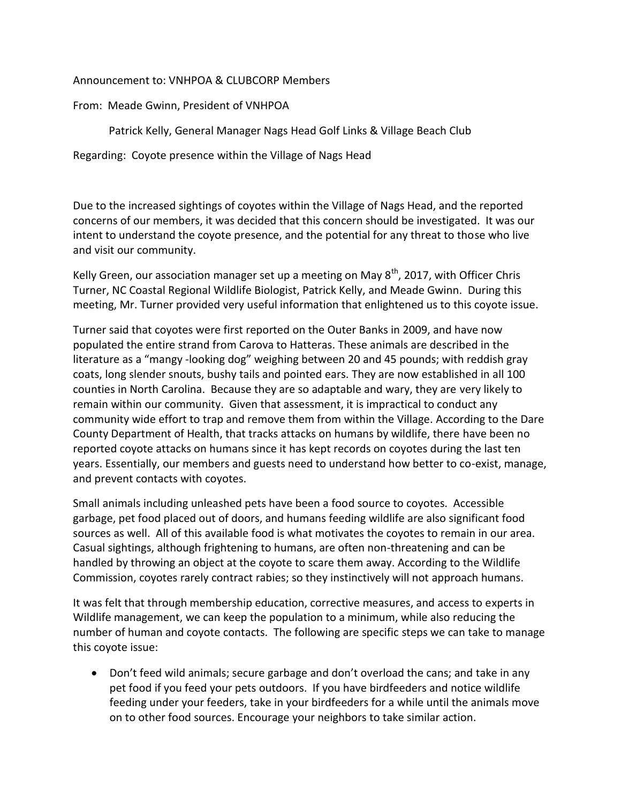## Announcement to: VNHPOA & CLUBCORP Members

From: Meade Gwinn, President of VNHPOA

Patrick Kelly, General Manager Nags Head Golf Links & Village Beach Club

Regarding: Coyote presence within the Village of Nags Head

Due to the increased sightings of coyotes within the Village of Nags Head, and the reported concerns of our members, it was decided that this concern should be investigated. It was our intent to understand the coyote presence, and the potential for any threat to those who live and visit our community.

Kelly Green, our association manager set up a meeting on May  $8<sup>th</sup>$ , 2017, with Officer Chris Turner, NC Coastal Regional Wildlife Biologist, Patrick Kelly, and Meade Gwinn. During this meeting, Mr. Turner provided very useful information that enlightened us to this coyote issue.

Turner said that coyotes were first reported on the Outer Banks in 2009, and have now populated the entire strand from Carova to Hatteras. These animals are described in the literature as a "mangy -looking dog" weighing between 20 and 45 pounds; with reddish gray coats, long slender snouts, bushy tails and pointed ears. They are now established in all 100 counties in North Carolina. Because they are so adaptable and wary, they are very likely to remain within our community. Given that assessment, it is impractical to conduct any community wide effort to trap and remove them from within the Village. According to the Dare County Department of Health, that tracks attacks on humans by wildlife, there have been no reported coyote attacks on humans since it has kept records on coyotes during the last ten years. Essentially, our members and guests need to understand how better to co-exist, manage, and prevent contacts with coyotes.

Small animals including unleashed pets have been a food source to coyotes. Accessible garbage, pet food placed out of doors, and humans feeding wildlife are also significant food sources as well. All of this available food is what motivates the coyotes to remain in our area. Casual sightings, although frightening to humans, are often non-threatening and can be handled by throwing an object at the coyote to scare them away. According to the Wildlife Commission, coyotes rarely contract rabies; so they instinctively will not approach humans.

It was felt that through membership education, corrective measures, and access to experts in Wildlife management, we can keep the population to a minimum, while also reducing the number of human and coyote contacts. The following are specific steps we can take to manage this coyote issue:

 Don't feed wild animals; secure garbage and don't overload the cans; and take in any pet food if you feed your pets outdoors. If you have birdfeeders and notice wildlife feeding under your feeders, take in your birdfeeders for a while until the animals move on to other food sources. Encourage your neighbors to take similar action.